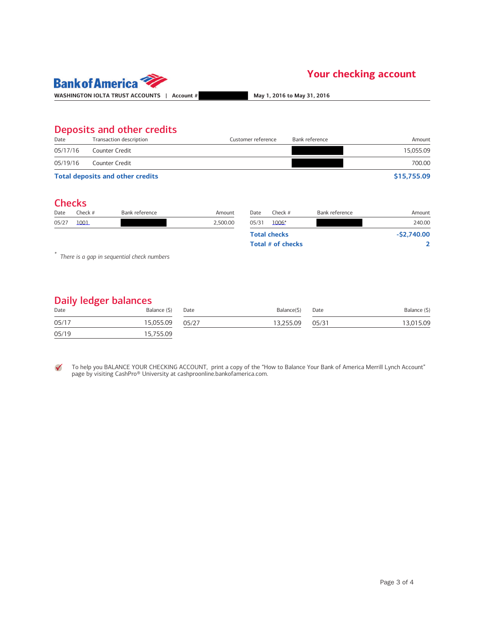

## Deposits and other credits

| Date     | Transaction description                 | Customer reference | Bank reference | Amount      |
|----------|-----------------------------------------|--------------------|----------------|-------------|
| 05/17/16 | Counter Credit                          |                    |                | 15.055.09   |
| 05/19/16 | Counter Credit                          |                    |                | 700.00      |
|          | <b>Total deposits and other credits</b> |                    |                | \$15,755.09 |

#### **Checks**

| Date  | Check # | Bank reference | Amount   | Date  | Check $#$           | Bank reference | Amount       |
|-------|---------|----------------|----------|-------|---------------------|----------------|--------------|
| 05/27 | 1001    |                | 2,500.00 | 05/31 | $1006*$             |                | 240.00       |
|       |         |                |          |       | <b>Total checks</b> |                | $-52,740.00$ |
|       |         |                |          |       | Total # of checks   |                |              |
| $-4o$ |         |                |          |       |                     |                |              |

\* There is a gap in sequential check numbers

### Daily ledger balances

| ີ<br>Date | Balance (\$) | Date  | Balance(\$) | Date  | Balance (\$) |
|-----------|--------------|-------|-------------|-------|--------------|
| 05/17     | 15.055.09    | 05/27 | 13.255.09   | 05/31 | 13,015.09    |
| 05/19     | 15,755.09    |       |             |       |              |

To help you BALANCE YOUR CHECKING ACCOUNT, print a copy of the "How to Balance Your Bank of America Merrill Lynch Account"  $\checkmark$ page by visiting CashPro® University at cashproonline.bankofamerica.com.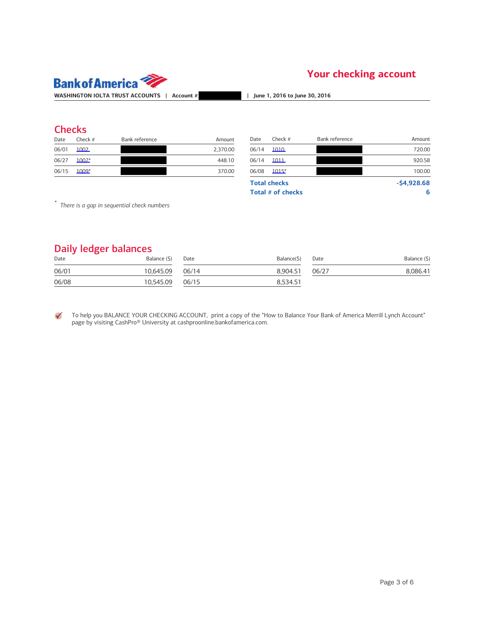

### **Checks**

| Date  | Check $#$ | Bank reference | Amount   |
|-------|-----------|----------------|----------|
| 06/01 | 1002      |                | 2.370.00 |
| 06/27 | 1007*     |                | 448.10   |
| 06/15 | $1009*$   |                | 370.00   |

| Date  | Check $#$ | Bank reference | Amount   | Date  | Check $#$           | Bank reference | Amount       |
|-------|-----------|----------------|----------|-------|---------------------|----------------|--------------|
| 06/01 | 1002      |                | 2,370.00 | 06/14 | 1010                |                | 720.00       |
| 06/27 | $1007*$   |                | 448.10   | 06/14 | 1011                |                | 920.58       |
| 06/15 | 1009*     |                | 370.00   | 06/08 | $1015*$             |                | 100.00       |
|       |           |                |          |       | <b>Total checks</b> |                | $-54,928.68$ |
|       |           |                |          |       | Total # of checks   |                | 6            |

\* There is a gap in sequential check numbers

#### Daily ledger balances

| ີ<br>Date | Balance (\$)    | Date | Balance(\$) | Date  | Balance (\$) |
|-----------|-----------------|------|-------------|-------|--------------|
| 06/01     | 10,645.09 06/14 |      | 8.904.51    | 06/27 | 8,086.41     |
| 06/08     | 10,545.09 06/15 |      | 8,534.51    |       |              |

To help you BALANCE YOUR CHECKING ACCOUNT, print a copy of the "How to Balance Your Bank of America Merrill Lynch Account" ✓ page by visiting CashPro® University at cashproonline.bankofamerica.com.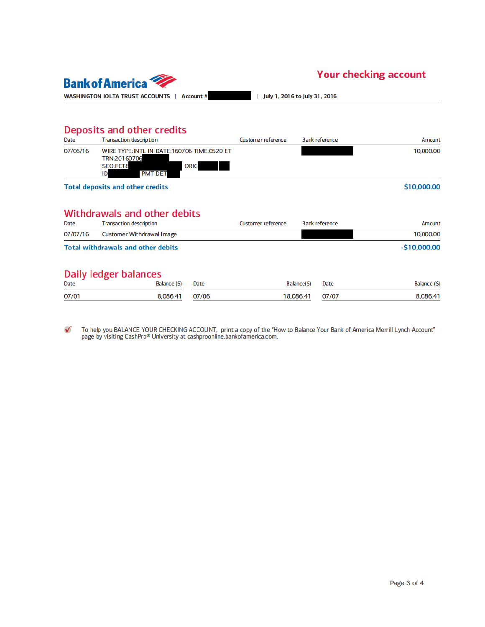

| July 1, 2016 to July 31, 2016

## Deposits and other credits

| Date     | <b>Transaction description</b>                                                                                           | <b>Customer reference</b> | <b>Bank reference</b> | Amount    |
|----------|--------------------------------------------------------------------------------------------------------------------------|---------------------------|-----------------------|-----------|
| 07/06/16 | WIRE TYPE: INTL IN DATE: 160706 TIME: 0520 ET<br>TRN:20160706<br><b>ORIG</b><br><b>SEO:FCT8</b><br><b>PMT DET:</b><br>ID |                           |                       | 10,000.00 |

**Total deposits and other credits** 

#### \$10,000.00

### **Withdrawals and other debits**

| Date     | <b>Transaction description</b>            | Customer reference | <b>Bank reference</b> | Amount        |
|----------|-------------------------------------------|--------------------|-----------------------|---------------|
| 07/07/16 | Customer Withdrawal Image                 |                    |                       | 10,000.00     |
|          | <b>Total withdrawals and other debits</b> |                    |                       | $-510,000,00$ |

#### Daily ledger balances

| <b>Date</b> | Balance (\$) Date | Balance(\$) Date | Balance (\$) |
|-------------|-------------------|------------------|--------------|
| 07/01       | 8.086.41 07/06    | 18.086.41 07/07  | 8.086.41     |

To help you BALANCE YOUR CHECKING ACCOUNT, print a copy of the "How to Balance Your Bank of America Merrill Lynch Account"<br>page by visiting CashPro® University at cashproonline.bankofamerica.com.  $\checkmark$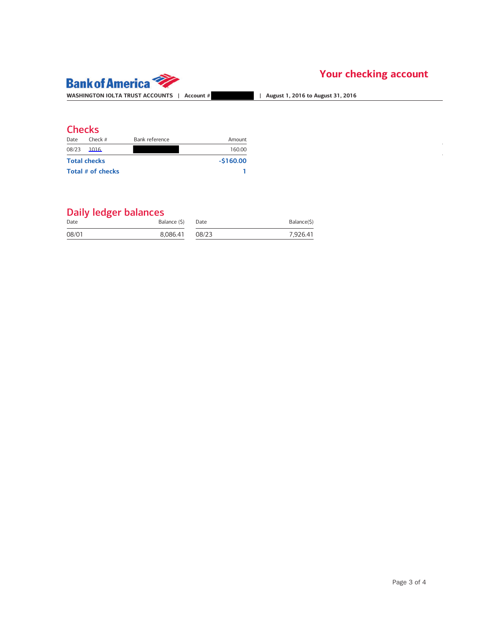

## **Checks**

| Date  | Cherk#              | Bank reference | Amount     |
|-------|---------------------|----------------|------------|
| 08/23 | 1016                |                | 160.00     |
|       | <b>Total checks</b> |                | $-5160.00$ |
|       | Total # of checks   |                |            |

| Date  | Balance (\$) | Date  | Balance(\$) |
|-------|--------------|-------|-------------|
| 08/01 | 8.086.41     | 08/23 | 7.926.41    |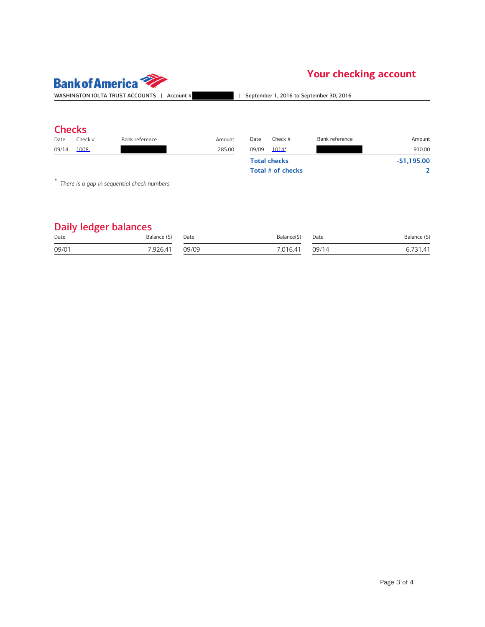

## **Checks**

| Date | hork<br>ו וככול ז | レっぺ<br><b>reference</b> | Amount      | Date       | . hor | <b>Arance</b><br>----- | ioun  |
|------|-------------------|-------------------------|-------------|------------|-------|------------------------|-------|
| 09/1 | 1008              |                         | 285.00<br>. | 09/09<br>. | 014   |                        | Q100c |

| Date              | Check#              | Bank reference | Amount       |
|-------------------|---------------------|----------------|--------------|
| 09/09             | $1014*$             |                | 910.00       |
|                   | <b>Total checks</b> |                | $-51.195.00$ |
| Total # of checks |                     |                |              |

\* There is a gap in sequential check numbers

| Date  | Balance (\$) | Date  | Balance(S) | Date  | Balance (\$) |
|-------|--------------|-------|------------|-------|--------------|
| 09/01 | 7.926.41     | 09/09 | 7.016.41   | 09/14 |              |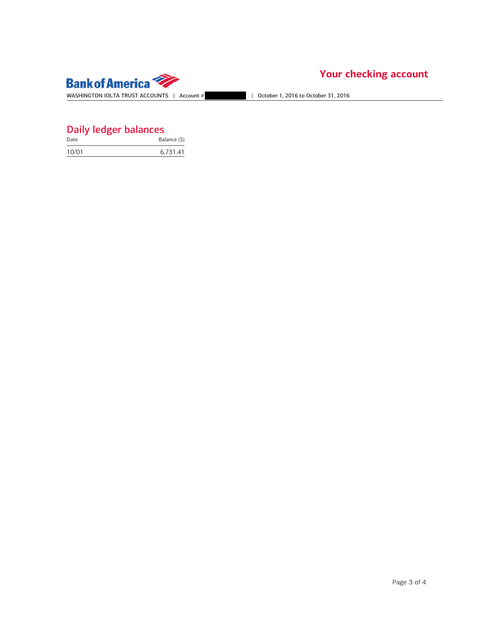

| Date  | Balance (\$) |
|-------|--------------|
| 10/01 | 6,731.41     |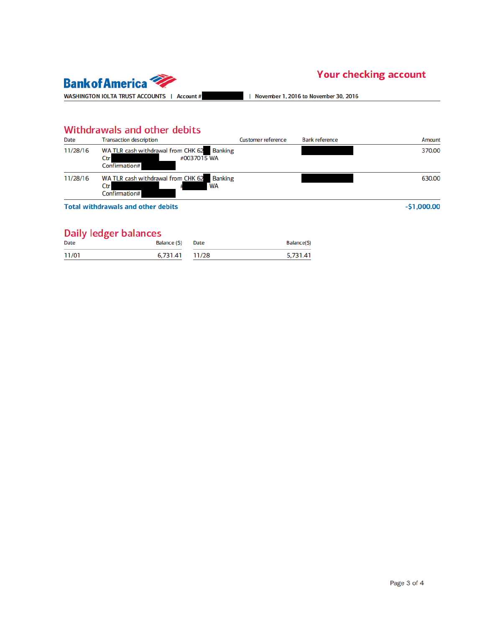

| November 1, 2016 to November 30, 2016

## Withdrawals and other debits

| <b>Date</b> | <b>Transaction description</b>                                                    | <b>Customer reference</b> | <b>Bank reference</b> | Amount       |
|-------------|-----------------------------------------------------------------------------------|---------------------------|-----------------------|--------------|
| 11/28/16    | WA TLR cash withdrawal from CHK 62 Banking<br>#0037015 WA<br>Ctr<br>Confirmation# |                           |                       | 370.00       |
| 11/28/16    | WA TLR cash withdrawal from CHK 62 Banking<br><b>WA</b><br>Ctr<br>Confirmation#   |                           |                       | 630.00       |
|             | <b>Total withdrawals and other debits</b>                                         |                           |                       | $-51,000.00$ |

**Total withdrawals and other debits** 

| $ \ldots$ , $\ldots$ , $\ldots$<br><b>Date</b> | Balance (\$) Date | Balance(\$) |
|------------------------------------------------|-------------------|-------------|
| 11/01                                          | 6.731.41 11/28    | 5,731.41    |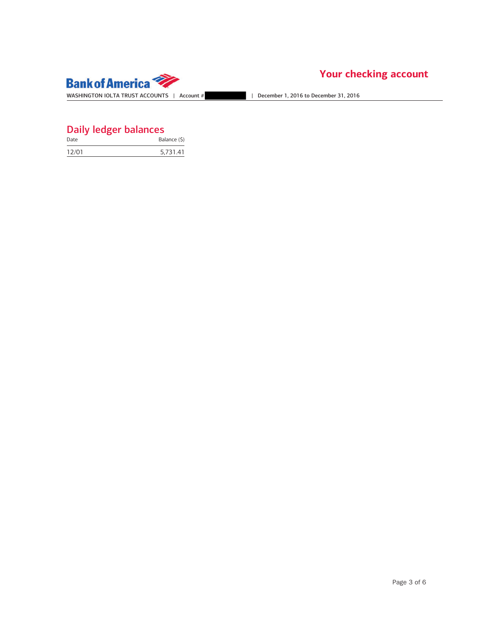

| Date  | Balance (\$) |
|-------|--------------|
| 12/01 | 5,731.41     |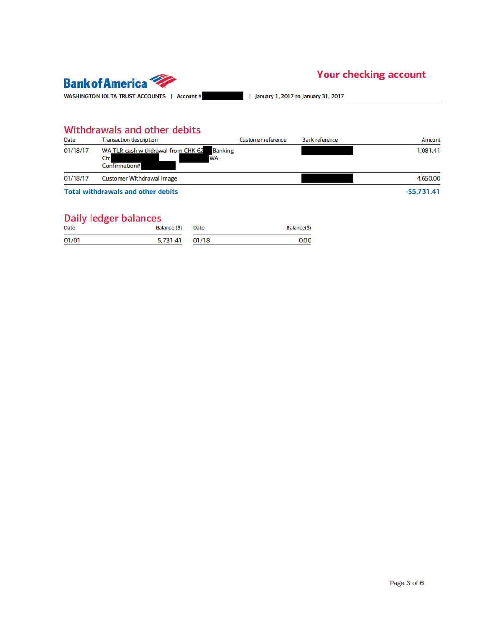

| January 1, 2017 to January 31, 2017

## Withdrawals and other debits

| Date     | <b>Transaction description</b>                                                            | <b>Customer reference</b> | <b>Bank reference</b> | Amount       |
|----------|-------------------------------------------------------------------------------------------|---------------------------|-----------------------|--------------|
| 01/18/17 | WA TLR cash withdrawal from CHK 62<br><b>Banking</b><br><b>WA</b><br>Ctr<br>Confirmation# |                           |                       | 1,081.41     |
| 01/18/17 | Customer Withdrawal Image                                                                 |                           |                       | 4,650.00     |
|          | <b>Total withdrawals and other debits</b>                                                 |                           |                       | $-55,731.41$ |

| <b>Date</b> | Balance (\$) Date | Balance(\$) |
|-------------|-------------------|-------------|
| 01/01       | 5,731.41 01/18    | 0.00        |